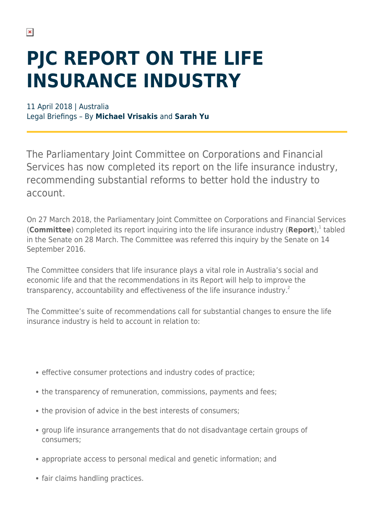## **PJC REPORT ON THE LIFE INSURANCE INDUSTRY**

11 April 2018 | Australia Legal Briefings – By **Michael Vrisakis** and **Sarah Yu**

The Parliamentary Joint Committee on Corporations and Financial Services has now completed its report on the life insurance industry, recommending substantial reforms to better hold the industry to account.

On 27 March 2018, the Parliamentary Joint Committee on Corporations and Financial Services (Committee) completed its report inquiring into the life insurance industry (Report),<sup>1</sup> tabled in the Senate on 28 March. The Committee was referred this inquiry by the Senate on 14 September 2016.

The Committee considers that life insurance plays a vital role in Australia's social and economic life and that the recommendations in its Report will help to improve the transparency, accountability and effectiveness of the life insurance industry.<sup>2</sup>

The Committee's suite of recommendations call for substantial changes to ensure the life insurance industry is held to account in relation to:

- effective consumer protections and industry codes of practice;
- the transparency of remuneration, commissions, payments and fees;
- the provision of advice in the best interests of consumers;
- group life insurance arrangements that do not disadvantage certain groups of consumers;
- appropriate access to personal medical and genetic information; and
- fair claims handling practices.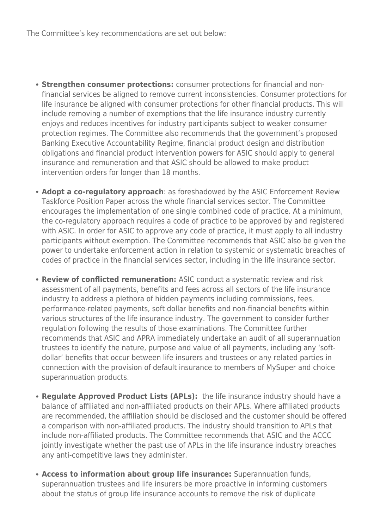The Committee's key recommendations are set out below:

- **Strengthen consumer protections:** consumer protections for financial and nonfinancial services be aligned to remove current inconsistencies. Consumer protections for life insurance be aligned with consumer protections for other financial products. This will include removing a number of exemptions that the life insurance industry currently enjoys and reduces incentives for industry participants subject to weaker consumer protection regimes. The Committee also recommends that the government's proposed Banking Executive Accountability Regime, financial product design and distribution obligations and financial product intervention powers for ASIC should apply to general insurance and remuneration and that ASIC should be allowed to make product intervention orders for longer than 18 months.
- **Adopt a co-regulatory approach**: as foreshadowed by the ASIC Enforcement Review Taskforce Position Paper across the whole financial services sector. The Committee encourages the implementation of one single combined code of practice. At a minimum, the co-regulatory approach requires a code of practice to be approved by and registered with ASIC. In order for ASIC to approve any code of practice, it must apply to all industry participants without exemption. The Committee recommends that ASIC also be given the power to undertake enforcement action in relation to systemic or systematic breaches of codes of practice in the financial services sector, including in the life insurance sector.
- **Review of conflicted remuneration:** ASIC conduct a systematic review and risk assessment of all payments, benefits and fees across all sectors of the life insurance industry to address a plethora of hidden payments including commissions, fees, performance-related payments, soft dollar benefits and non-financial benefits within various structures of the life insurance industry. The government to consider further regulation following the results of those examinations. The Committee further recommends that ASIC and APRA immediately undertake an audit of all superannuation trustees to identify the nature, purpose and value of all payments, including any 'softdollar' benefits that occur between life insurers and trustees or any related parties in connection with the provision of default insurance to members of MySuper and choice superannuation products.
- **Regulate Approved Product Lists (APLs):** the life insurance industry should have a balance of affiliated and non-affiliated products on their APLs. Where affiliated products are recommended, the affiliation should be disclosed and the customer should be offered a comparison with non-affiliated products. The industry should transition to APLs that include non-affiliated products. The Committee recommends that ASIC and the ACCC jointly investigate whether the past use of APLs in the life insurance industry breaches any anti-competitive laws they administer.
- **Access to information about group life insurance:** Superannuation funds, superannuation trustees and life insurers be more proactive in informing customers about the status of group life insurance accounts to remove the risk of duplicate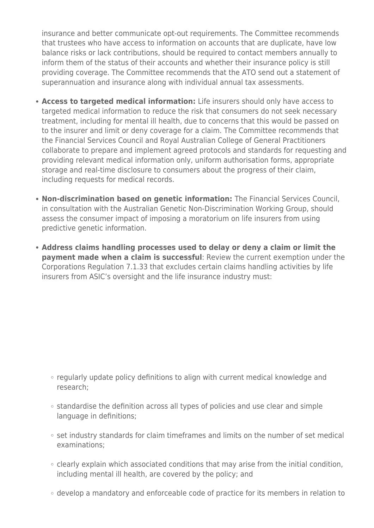insurance and better communicate opt-out requirements. The Committee recommends that trustees who have access to information on accounts that are duplicate, have low balance risks or lack contributions, should be required to contact members annually to inform them of the status of their accounts and whether their insurance policy is still providing coverage. The Committee recommends that the ATO send out a statement of superannuation and insurance along with individual annual tax assessments.

- **Access to targeted medical information:** Life insurers should only have access to targeted medical information to reduce the risk that consumers do not seek necessary treatment, including for mental ill health, due to concerns that this would be passed on to the insurer and limit or deny coverage for a claim. The Committee recommends that the Financial Services Council and Royal Australian College of General Practitioners collaborate to prepare and implement agreed protocols and standards for requesting and providing relevant medical information only, uniform authorisation forms, appropriate storage and real-time disclosure to consumers about the progress of their claim, including requests for medical records.
- **Non-discrimination based on genetic information:** The Financial Services Council, in consultation with the Australian Genetic Non-Discrimination Working Group, should assess the consumer impact of imposing a moratorium on life insurers from using predictive genetic information.
- **Address claims handling processes used to delay or deny a claim or limit the payment made when a claim is successful**: Review the current exemption under the Corporations Regulation 7.1.33 that excludes certain claims handling activities by life insurers from ASIC's oversight and the life insurance industry must:

- regularly update policy definitions to align with current medical knowledge and research;
- o standardise the definition across all types of policies and use clear and simple language in definitions;
- o set industry standards for claim timeframes and limits on the number of set medical examinations;
- $\circ$  clearly explain which associated conditions that may arise from the initial condition, including mental ill health, are covered by the policy; and
- develop a mandatory and enforceable code of practice for its members in relation to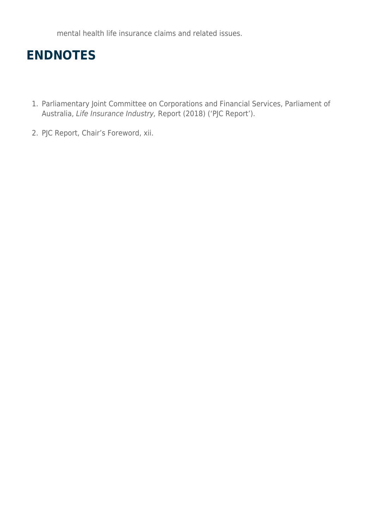mental health life insurance claims and related issues.

## **ENDNOTES**

- 1. Parliamentary Joint Committee on Corporations and Financial Services, Parliament of Australia, Life Insurance Industry, Report (2018) ('PJC Report').
- 2. PJC Report, Chair's Foreword, xii.